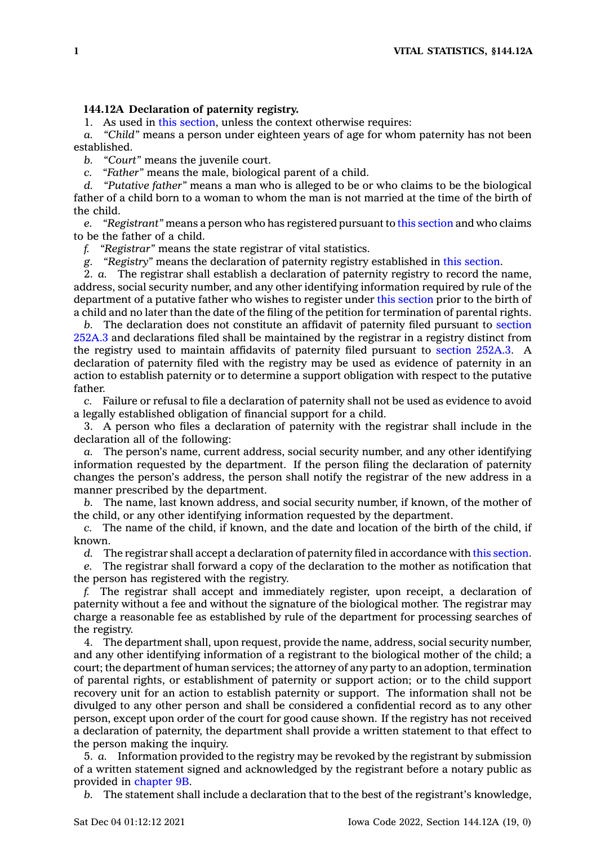## **144.12A Declaration of paternity registry.**

1. As used in this [section](https://www.legis.iowa.gov/docs/code/144.12A.pdf), unless the context otherwise requires:

*a. "Child"* means <sup>a</sup> person under eighteen years of age for whom paternity has not been established.

*b. "Court"* means the juvenile court.

*c. "Father"* means the male, biological parent of <sup>a</sup> child.

*d. "Putative father"* means <sup>a</sup> man who is alleged to be or who claims to be the biological father of <sup>a</sup> child born to <sup>a</sup> woman to whom the man is not married at the time of the birth of the child.

*e. "Registrant"* means <sup>a</sup> person who has registered pursuant to this [section](https://www.legis.iowa.gov/docs/code/144.12A.pdf) and who claims to be the father of <sup>a</sup> child.

*f. "Registrar"* means the state registrar of vital statistics.

*g. "Registry"* means the declaration of paternity registry established in this [section](https://www.legis.iowa.gov/docs/code/144.12A.pdf).

2. *a.* The registrar shall establish <sup>a</sup> declaration of paternity registry to record the name, address, social security number, and any other identifying information required by rule of the department of <sup>a</sup> putative father who wishes to register under this [section](https://www.legis.iowa.gov/docs/code/144.12A.pdf) prior to the birth of <sup>a</sup> child and no later than the date of the filing of the petition for termination of parental rights.

*b.* The declaration does not constitute an affidavit of paternity filed pursuant to [section](https://www.legis.iowa.gov/docs/code/252A.3.pdf) [252A.3](https://www.legis.iowa.gov/docs/code/252A.3.pdf) and declarations filed shall be maintained by the registrar in <sup>a</sup> registry distinct from the registry used to maintain affidavits of paternity filed pursuant to [section](https://www.legis.iowa.gov/docs/code/252A.3.pdf) 252A.3. A declaration of paternity filed with the registry may be used as evidence of paternity in an action to establish paternity or to determine <sup>a</sup> support obligation with respect to the putative father.

*c.* Failure or refusal to file <sup>a</sup> declaration of paternity shall not be used as evidence to avoid <sup>a</sup> legally established obligation of financial support for <sup>a</sup> child.

3. A person who files <sup>a</sup> declaration of paternity with the registrar shall include in the declaration all of the following:

*a.* The person's name, current address, social security number, and any other identifying information requested by the department. If the person filing the declaration of paternity changes the person's address, the person shall notify the registrar of the new address in <sup>a</sup> manner prescribed by the department.

*b.* The name, last known address, and social security number, if known, of the mother of the child, or any other identifying information requested by the department.

*c.* The name of the child, if known, and the date and location of the birth of the child, if known.

*d.* The registrar shall accept <sup>a</sup> declaration of paternity filed in accordance with this [section](https://www.legis.iowa.gov/docs/code/144.12A.pdf).

*e.* The registrar shall forward <sup>a</sup> copy of the declaration to the mother as notification that the person has registered with the registry.

*f.* The registrar shall accept and immediately register, upon receipt, <sup>a</sup> declaration of paternity without <sup>a</sup> fee and without the signature of the biological mother. The registrar may charge <sup>a</sup> reasonable fee as established by rule of the department for processing searches of the registry.

4. The department shall, upon request, provide the name, address, social security number, and any other identifying information of <sup>a</sup> registrant to the biological mother of the child; <sup>a</sup> court; the department of human services; the attorney of any party to an adoption, termination of parental rights, or establishment of paternity or support action; or to the child support recovery unit for an action to establish paternity or support. The information shall not be divulged to any other person and shall be considered <sup>a</sup> confidential record as to any other person, except upon order of the court for good cause shown. If the registry has not received <sup>a</sup> declaration of paternity, the department shall provide <sup>a</sup> written statement to that effect to the person making the inquiry.

5. *a.* Information provided to the registry may be revoked by the registrant by submission of <sup>a</sup> written statement signed and acknowledged by the registrant before <sup>a</sup> notary public as provided in [chapter](https://www.legis.iowa.gov/docs/code//9B.pdf) 9B.

*b.* The statement shall include <sup>a</sup> declaration that to the best of the registrant's knowledge,